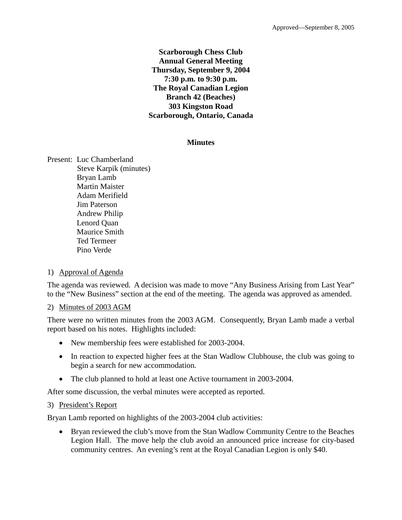#### **Scarborough Chess Club Annual General Meeting Thursday, September 9, 2004 7:30 p.m. to 9:30 p.m. The Royal Canadian Legion Branch 42 (Beaches) 303 Kingston Road Scarborough, Ontario, Canada**

#### **Minutes**

Present: Luc Chamberland Steve Karpik (minutes) Bryan Lamb Martin Maister Adam Merifield Jim Paterson Andrew Philip Lenord Quan Maurice Smith Ted Termeer Pino Verde

#### 1) Approval of Agenda

The agenda was reviewed. A decision was made to move "Any Business Arising from Last Year" to the "New Business" section at the end of the meeting. The agenda was approved as amended.

#### 2) Minutes of 2003 AGM

There were no written minutes from the 2003 AGM. Consequently, Bryan Lamb made a verbal report based on his notes. Highlights included:

- New membership fees were established for 2003-2004.
- In reaction to expected higher fees at the Stan Wadlow Clubhouse, the club was going to begin a search for new accommodation.
- The club planned to hold at least one Active tournament in 2003-2004.

After some discussion, the verbal minutes were accepted as reported.

#### 3) President's Report

Bryan Lamb reported on highlights of the 2003-2004 club activities:

• Bryan reviewed the club's move from the Stan Wadlow Community Centre to the Beaches Legion Hall. The move help the club avoid an announced price increase for city-based community centres. An evening's rent at the Royal Canadian Legion is only \$40.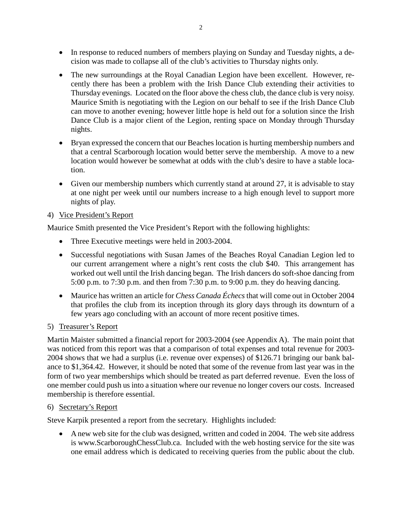- In response to reduced numbers of members playing on Sunday and Tuesday nights, a decision was made to collapse all of the club's activities to Thursday nights only.
- The new surroundings at the Royal Canadian Legion have been excellent. However, recently there has been a problem with the Irish Dance Club extending their activities to Thursday evenings. Located on the floor above the chess club, the dance club is very noisy. Maurice Smith is negotiating with the Legion on our behalf to see if the Irish Dance Club can move to another evening; however little hope is held out for a solution since the Irish Dance Club is a major client of the Legion, renting space on Monday through Thursday nights.
- Bryan expressed the concern that our Beaches location is hurting membership numbers and that a central Scarborough location would better serve the membership. A move to a new location would however be somewhat at odds with the club's desire to have a stable location.
- Given our membership numbers which currently stand at around 27, it is advisable to stay at one night per week until our numbers increase to a high enough level to support more nights of play.

# 4) Vice President's Report

Maurice Smith presented the Vice President's Report with the following highlights:

- Three Executive meetings were held in 2003-2004.
- Successful negotiations with Susan James of the Beaches Royal Canadian Legion led to our current arrangement where a night's rent costs the club \$40. This arrangement has worked out well until the Irish dancing began. The Irish dancers do soft-shoe dancing from 5:00 p.m. to 7:30 p.m. and then from 7:30 p.m. to 9:00 p.m. they do heaving dancing.
- Maurice has written an article for *Chess Canada Échecs* that will come out in October 2004 that profiles the club from its inception through its glory days through its downturn of a few years ago concluding with an account of more recent positive times.

### 5) Treasurer's Report

Martin Maister submitted a financial report for 2003-2004 (see Appendix A). The main point that was noticed from this report was that a comparison of total expenses and total revenue for 2003- 2004 shows that we had a surplus (i.e. revenue over expenses) of \$126.71 bringing our bank balance to \$1,364.42. However, it should be noted that some of the revenue from last year was in the form of two year memberships which should be treated as part deferred revenue. Even the loss of one member could push us into a situation where our revenue no longer covers our costs. Increased membership is therefore essential.

### 6) Secretary's Report

Steve Karpik presented a report from the secretary. Highlights included:

• A new web site for the club was designed, written and coded in 2004. The web site address is www.ScarboroughChessClub.ca. Included with the web hosting service for the site was one email address which is dedicated to receiving queries from the public about the club.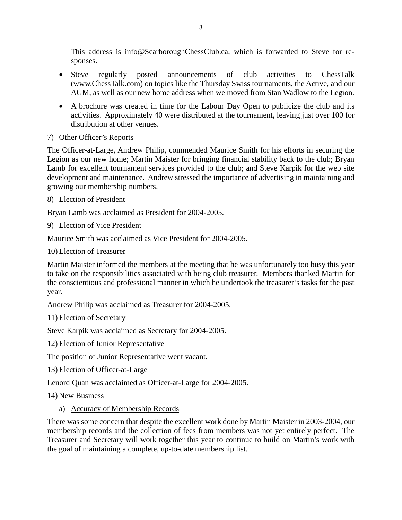This address is info@ScarboroughChessClub.ca, which is forwarded to Steve for responses.

- Steve regularly posted announcements of club activities to ChessTalk (www.ChessTalk.com) on topics like the Thursday Swiss tournaments, the Active, and our AGM, as well as our new home address when we moved from Stan Wadlow to the Legion.
- A brochure was created in time for the Labour Day Open to publicize the club and its activities. Approximately 40 were distributed at the tournament, leaving just over 100 for distribution at other venues.

# 7) Other Officer's Reports

The Officer-at-Large, Andrew Philip, commended Maurice Smith for his efforts in securing the Legion as our new home; Martin Maister for bringing financial stability back to the club; Bryan Lamb for excellent tournament services provided to the club; and Steve Karpik for the web site development and maintenance. Andrew stressed the importance of advertising in maintaining and growing our membership numbers.

# 8) Election of President

Bryan Lamb was acclaimed as President for 2004-2005.

9) Election of Vice President

Maurice Smith was acclaimed as Vice President for 2004-2005.

10) Election of Treasurer

Martin Maister informed the members at the meeting that he was unfortunately too busy this year to take on the responsibilities associated with being club treasurer. Members thanked Martin for the conscientious and professional manner in which he undertook the treasurer's tasks for the past year.

Andrew Philip was acclaimed as Treasurer for 2004-2005.

11) Election of Secretary

Steve Karpik was acclaimed as Secretary for 2004-2005.

12) Election of Junior Representative

The position of Junior Representative went vacant.

13) Election of Officer-at-Large

Lenord Quan was acclaimed as Officer-at-Large for 2004-2005.

14) New Business

a) Accuracy of Membership Records

There was some concern that despite the excellent work done by Martin Maister in 2003-2004, our membership records and the collection of fees from members was not yet entirely perfect. The Treasurer and Secretary will work together this year to continue to build on Martin's work with the goal of maintaining a complete, up-to-date membership list.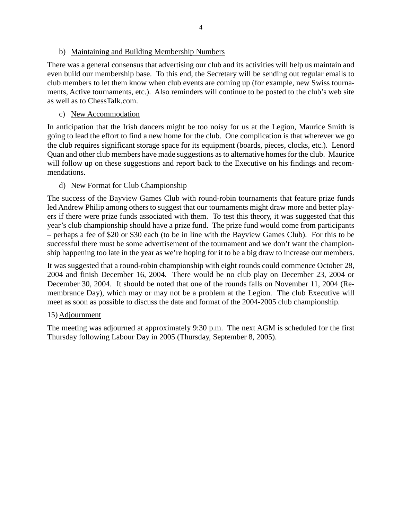There was a general consensus that advertising our club and its activities will help us maintain and even build our membership base. To this end, the Secretary will be sending out regular emails to club members to let them know when club events are coming up (for example, new Swiss tournaments, Active tournaments, etc.). Also reminders will continue to be posted to the club's web site as well as to ChessTalk.com.

# c) New Accommodation

In anticipation that the Irish dancers might be too noisy for us at the Legion, Maurice Smith is going to lead the effort to find a new home for the club. One complication is that wherever we go the club requires significant storage space for its equipment (boards, pieces, clocks, etc.). Lenord Quan and other club members have made suggestions as to alternative homes for the club. Maurice will follow up on these suggestions and report back to the Executive on his findings and recommendations.

# d) New Format for Club Championship

The success of the Bayview Games Club with round-robin tournaments that feature prize funds led Andrew Philip among others to suggest that our tournaments might draw more and better players if there were prize funds associated with them. To test this theory, it was suggested that this year's club championship should have a prize fund. The prize fund would come from participants – perhaps a fee of \$20 or \$30 each (to be in line with the Bayview Games Club). For this to be successful there must be some advertisement of the tournament and we don't want the championship happening too late in the year as we're hoping for it to be a big draw to increase our members.

It was suggested that a round-robin championship with eight rounds could commence October 28, 2004 and finish December 16, 2004. There would be no club play on December 23, 2004 or December 30, 2004. It should be noted that one of the rounds falls on November 11, 2004 (Remembrance Day), which may or may not be a problem at the Legion. The club Executive will meet as soon as possible to discuss the date and format of the 2004-2005 club championship.

### 15) Adjournment

The meeting was adjourned at approximately 9:30 p.m. The next AGM is scheduled for the first Thursday following Labour Day in 2005 (Thursday, September 8, 2005).